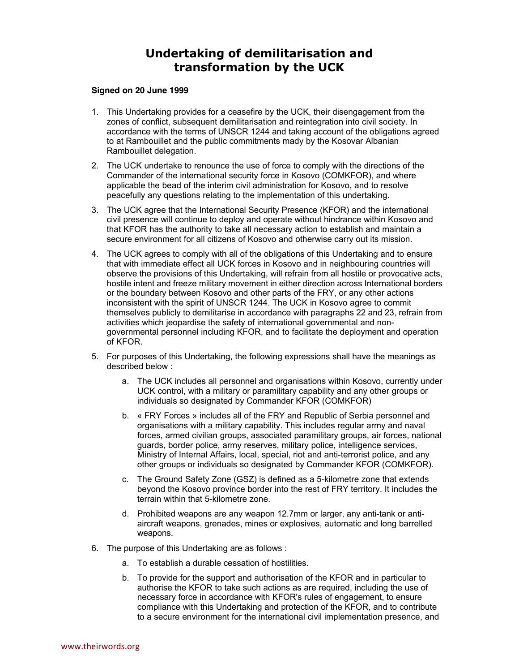## **Undertaking of demilitarisation and transformation by the UCK**

## **Signed on 20 June 1999**

- 1. This Undertaking provides for a ceasefire by the UCK, their disengagement from the zones of conflict, subsequent demilitarisation and reintegration into civil society. In accordance with the terms of UNSCR 1244 and taking account of the obligations agreed to at Rambouillet and the public commitments mady by the Kosovar Albanian Rambouillet delegation.
- 2. The UCK undertake to renounce the use of force to comply with the directions of the Commander of the international security force in Kosovo (COMKFOR), and where applicable the bead of the interim civil administration for Kosovo, and to resolve peacefully any questions relating to the implementation of this undertaking.
- 3. The UCK agree that the International Security Presence (KFOR) and the international civil presence will continue to deploy and operate without hindrance within Kosovo and that KFOR has the authority to take all necessary action to establish and maintain a secure environment for all citizens of Kosovo and otherwise carry out its mission.
- 4. The UCK agrees to comply with all of the obligations of this Undertaking and to ensure that with immediate effect all UCK forces in Kosovo and in neighbouring countries will observe the provisions of this Undertaking, will refrain from all hostile or provocative acts, hostile intent and freeze military movement in either direction across International borders or the boundary between Kosovo and other parts of the FRY, or any other actions inconsistent with the spirit of UNSCR 1244. The UCK in Kosovo agree to commit themselves publicly to demilitarise in accordance with paragraphs 22 and 23, refrain from activities which jeopardise the safety of international governmental and nongovernmental personnel including KFOR, and to facilitate the deployment and operation of KFOR.
- 5. For purposes of this Undertaking, the following expressions shall have the meanings as described below :
	- a. The UCK includes all personnel and organisations within Kosovo, currently under UCK control, with a military or paramilitary capability and any other groups or individuals so designated by Commander KFOR (COMKFOR)
	- b. « FRY Forces » includes all of the FRY and Republic of Serbia personnel and organisations with a military capability. This includes regular army and naval forces, armed civilian groups, associated paramilitary groups, air forces, national guards, border police, army reserves, military police, intelligence services, Ministry of Internal Affairs, local, special, riot and anti-terrorist police, and any other groups or individuals so designated by Commander KFOR (COMKFOR).
	- c. The Ground Safety Zone (GSZ) is defined as a 5-kilometre zone that extends beyond the Kosovo province border into the rest of FRY territory. It includes the terrain within that 5-kilometre zone.
	- d. Prohibited weapons are any weapon 12.7mm or larger, any anti-tank or antiaircraft weapons, grenades, mines or explosives, automatic and long barrelled weapons.
- 6. The purpose of this Undertaking are as follows :
	- a. To establish a durable cessation of hostilities.
	- b. To provide for the support and authorisation of the KFOR and in particular to authorise the KFOR to take such actions as are required, including the use of necessary force in accordance with KFOR's rules of engagement, to ensure compliance with this Undertaking and protection of the KFOR, and to contribute to a secure environment for the international civil implementation presence, and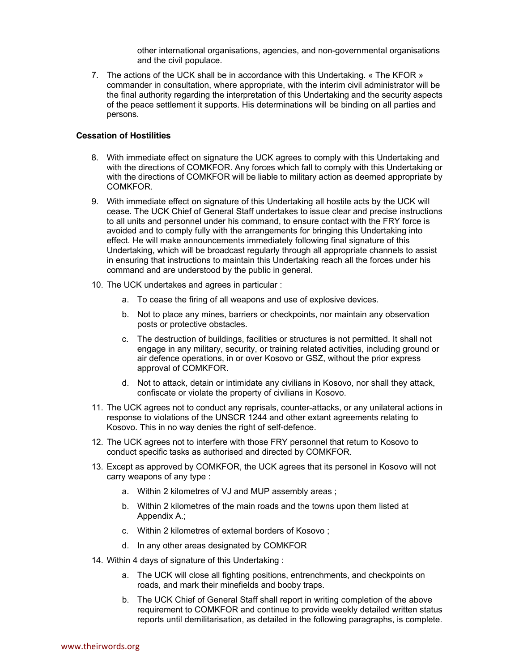other international organisations, agencies, and non-governmental organisations and the civil populace.

7. The actions of the UCK shall be in accordance with this Undertaking. « The KFOR » commander in consultation, where appropriate, with the interim civil administrator will be the final authority regarding the interpretation of this Undertaking and the security aspects of the peace settlement it supports. His determinations will be binding on all parties and persons.

## **Cessation of Hostilities**

- 8. With immediate effect on signature the UCK agrees to comply with this Undertaking and with the directions of COMKFOR. Any forces which fall to comply with this Undertaking or with the directions of COMKFOR will be liable to military action as deemed appropriate by COMKFOR.
- 9. With immediate effect on signature of this Undertaking all hostile acts by the UCK will cease. The UCK Chief of General Staff undertakes to issue clear and precise instructions to all units and personnel under his command, to ensure contact with the FRY force is avoided and to comply fully with the arrangements for bringing this Undertaking into effect. He will make announcements immediately following final signature of this Undertaking, which will be broadcast regularly through all appropriate channels to assist in ensuring that instructions to maintain this Undertaking reach all the forces under his command and are understood by the public in general.
- 10. The UCK undertakes and agrees in particular :
	- a. To cease the firing of all weapons and use of explosive devices.
	- b. Not to place any mines, barriers or checkpoints, nor maintain any observation posts or protective obstacles.
	- c. The destruction of buildings, facilities or structures is not permitted. It shall not engage in any military, security, or training related activities, including ground or air defence operations, in or over Kosovo or GSZ, without the prior express approval of COMKFOR.
	- d. Not to attack, detain or intimidate any civilians in Kosovo, nor shall they attack, confiscate or violate the property of civilians in Kosovo.
- 11. The UCK agrees not to conduct any reprisals, counter-attacks, or any unilateral actions in response to violations of the UNSCR 1244 and other extant agreements relating to Kosovo. This in no way denies the right of self-defence.
- 12. The UCK agrees not to interfere with those FRY personnel that return to Kosovo to conduct specific tasks as authorised and directed by COMKFOR.
- 13. Except as approved by COMKFOR, the UCK agrees that its personel in Kosovo will not carry weapons of any type :
	- a. Within 2 kilometres of VJ and MUP assembly areas ;
	- b. Within 2 kilometres of the main roads and the towns upon them listed at Appendix A.;
	- c. Within 2 kilometres of external borders of Kosovo ;
	- d. In any other areas designated by COMKFOR
- 14. Within 4 days of signature of this Undertaking :
	- a. The UCK will close all fighting positions, entrenchments, and checkpoints on roads, and mark their minefields and booby traps.
	- b. The UCK Chief of General Staff shall report in writing completion of the above requirement to COMKFOR and continue to provide weekly detailed written status reports until demilitarisation, as detailed in the following paragraphs, is complete.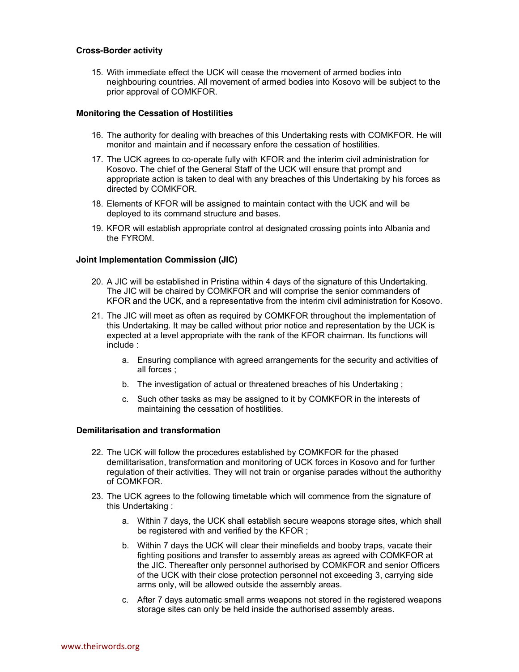## **Cross-Border activity**

15. With immediate effect the UCK will cease the movement of armed bodies into neighbouring countries. All movement of armed bodies into Kosovo will be subject to the prior approval of COMKFOR.

#### **Monitoring the Cessation of Hostilities**

- 16. The authority for dealing with breaches of this Undertaking rests with COMKFOR. He will monitor and maintain and if necessary enfore the cessation of hostilities.
- 17. The UCK agrees to co-operate fully with KFOR and the interim civil administration for Kosovo. The chief of the General Staff of the UCK will ensure that prompt and appropriate action is taken to deal with any breaches of this Undertaking by his forces as directed by COMKFOR.
- 18. Elements of KFOR will be assigned to maintain contact with the UCK and will be deployed to its command structure and bases.
- 19. KFOR will establish appropriate control at designated crossing points into Albania and the FYROM.

#### **Joint Implementation Commission (JIC)**

- 20. A JIC will be established in Pristina within 4 days of the signature of this Undertaking. The JIC will be chaired by COMKFOR and will comprise the senior commanders of KFOR and the UCK, and a representative from the interim civil administration for Kosovo.
- 21. The JIC will meet as often as required by COMKFOR throughout the implementation of this Undertaking. It may be called without prior notice and representation by the UCK is expected at a level appropriate with the rank of the KFOR chairman. Its functions will include :
	- a. Ensuring compliance with agreed arrangements for the security and activities of all forces ;
	- b. The investigation of actual or threatened breaches of his Undertaking ;
	- c. Such other tasks as may be assigned to it by COMKFOR in the interests of maintaining the cessation of hostilities.

## **Demilitarisation and transformation**

- 22. The UCK will follow the procedures established by COMKFOR for the phased demilitarisation, transformation and monitoring of UCK forces in Kosovo and for further regulation of their activities. They will not train or organise parades without the authorithy of COMKFOR.
- 23. The UCK agrees to the following timetable which will commence from the signature of this Undertaking :
	- a. Within 7 days, the UCK shall establish secure weapons storage sites, which shall be registered with and verified by the KFOR ;
	- b. Within 7 days the UCK will clear their minefields and booby traps, vacate their fighting positions and transfer to assembly areas as agreed with COMKFOR at the JIC. Thereafter only personnel authorised by COMKFOR and senior Officers of the UCK with their close protection personnel not exceeding 3, carrying side arms only, will be allowed outside the assembly areas.
	- c. After 7 days automatic small arms weapons not stored in the registered weapons storage sites can only be held inside the authorised assembly areas.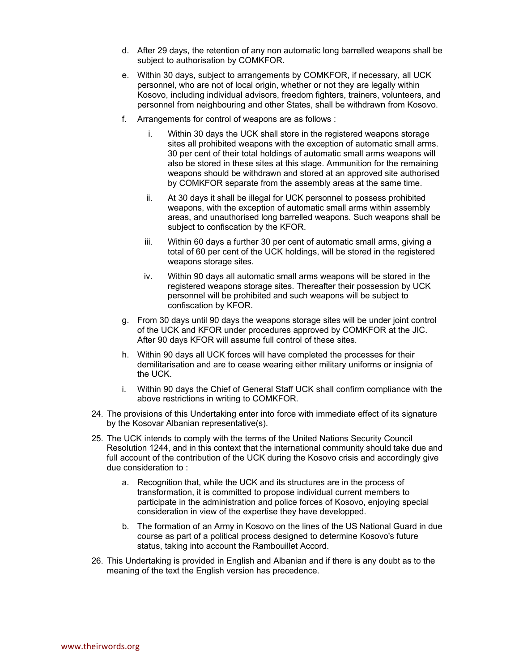- d. After 29 days, the retention of any non automatic long barrelled weapons shall be subject to authorisation by COMKFOR.
- e. Within 30 days, subject to arrangements by COMKFOR, if necessary, all UCK personnel, who are not of local origin, whether or not they are legally within Kosovo, including individual advisors, freedom fighters, trainers, volunteers, and personnel from neighbouring and other States, shall be withdrawn from Kosovo.
- f. Arrangements for control of weapons are as follows :
	- i. Within 30 days the UCK shall store in the registered weapons storage sites all prohibited weapons with the exception of automatic small arms. 30 per cent of their total holdings of automatic small arms weapons will also be stored in these sites at this stage. Ammunition for the remaining weapons should be withdrawn and stored at an approved site authorised by COMKFOR separate from the assembly areas at the same time.
	- ii. At 30 days it shall be illegal for UCK personnel to possess prohibited weapons, with the exception of automatic small arms within assembly areas, and unauthorised long barrelled weapons. Such weapons shall be subject to confiscation by the KFOR.
	- iii. Within 60 days a further 30 per cent of automatic small arms, giving a total of 60 per cent of the UCK holdings, will be stored in the registered weapons storage sites.
	- iv. Within 90 days all automatic small arms weapons will be stored in the registered weapons storage sites. Thereafter their possession by UCK personnel will be prohibited and such weapons will be subject to confiscation by KFOR.
- g. From 30 days until 90 days the weapons storage sites will be under joint control of the UCK and KFOR under procedures approved by COMKFOR at the JIC. After 90 days KFOR will assume full control of these sites.
- h. Within 90 days all UCK forces will have completed the processes for their demilitarisation and are to cease wearing either military uniforms or insignia of the UCK.
- i. Within 90 days the Chief of General Staff UCK shall confirm compliance with the above restrictions in writing to COMKFOR.
- 24. The provisions of this Undertaking enter into force with immediate effect of its signature by the Kosovar Albanian representative(s).
- 25. The UCK intends to comply with the terms of the United Nations Security Council Resolution 1244, and in this context that the international community should take due and full account of the contribution of the UCK during the Kosovo crisis and accordingly give due consideration to :
	- a. Recognition that, while the UCK and its structures are in the process of transformation, it is committed to propose individual current members to participate in the administration and police forces of Kosovo, enjoying special consideration in view of the expertise they have developped.
	- b. The formation of an Army in Kosovo on the lines of the US National Guard in due course as part of a political process designed to determine Kosovo's future status, taking into account the Rambouillet Accord.
- 26. This Undertaking is provided in English and Albanian and if there is any doubt as to the meaning of the text the English version has precedence.